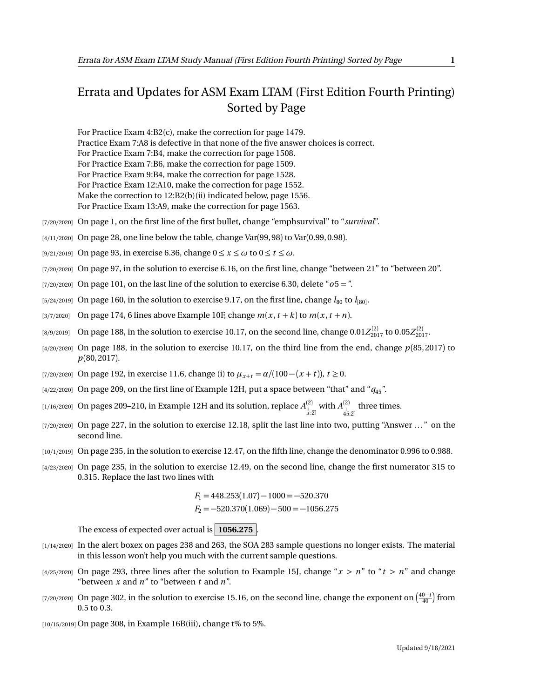## Errata and Updates for ASM Exam LTAM (First Edition Fourth Printing) Sorted by Page

For Practice Exam 4:B2(c), make the correction for page 1479. Practice Exam 7:A8 is defective in that none of the five answer choices is correct. For Practice Exam 7:B4, make the correction for page 1508. For Practice Exam 7:B6, make the correction for page 1509. For Practice Exam 9:B4, make the correction for page 1528. For Practice Exam 12:A10, make the correction for page 1552. Make the correction to 12:B2(b)(ii) indicated below, page 1556. For Practice Exam 13:A9, make the correction for page 1563.

- [7/20/2020] On page 1, on the first line of the first bullet, change "emphsurvival" to "*survival*".
- [4/11/2020] On page 28, one line below the table, change Var(99, 98) to Var(0.99, 0.98).
- [9/21/2019] On page 93, in exercise 6.36, change  $0 \le x \le \omega$  to  $0 \le t \le \omega$ .
- [7/20/2020] On page 97, in the solution to exercise 6.16, on the first line, change "between 21" to "between 20".
- $(7/20/2020)$  On page 101, on the last line of the solution to exercise 6.30, delete " $\sigma$ 5 = ".
- $_{[5/24/2019]}$  On page 160, in the solution to exercise 9.17, on the first line, change  $l_{80}$  to  $l_{[80]}$ .
- [3/7/2020] On page 174, 6 lines above Example 10F, change  $m(x, t + k)$  to  $m(x, t + n)$ .
- $_{[8/9/2019]}$  On page 188, in the solution to exercise 10.17, on the second line, change  $0.01 Z_{2017}^{(2)}$  to  $0.05 Z_{2017}^{(2)}$ .
- [4/20/2020] On page 188, in the solution to exercise 10.17, on the third line from the end, change *p*(85, 2017) to *p*(80, 2017).
- [7/20/2020] On page 192, in exercise 11.6, change (i) to  $\mu_{x+t} = \alpha/(100 (x + t))$ ,  $t \ge 0$ .
- [4/22/2020] On page 209, on the first line of Example 12H, put a space between "that" and "*q*45".
- [1/16/2020] On pages 209–210, in Example 12H and its solution, replace  $A^{(2)}_{\frac{1}{x}:\overline{2}|}$  with  $A^{(2)}_{\frac{1}{45:2}|}$  three times.
- [7/20/2020] On page 227, in the solution to exercise 12.18, split the last line into two, putting "Answer ..." on the second line.
- [10/1/2019] On page 235, in the solution to exercise 12.47, on the fifth line, change the denominator 0.996 to 0.988.
- [4/23/2020] On page 235, in the solution to exercise 12.49, on the second line, change the first numerator 315 to 0.315. Replace the last two lines with

$$
F_1 = 448.253(1.07) - 1000 = -520.370
$$
  

$$
F_2 = -520.370(1.069) - 500 = -1056.275
$$

The excess of expected over actual is **1056.275** .

- [1/14/2020] In the alert boxex on pages 238 and 263, the SOA 283 sample questions no longer exists. The material in this lesson won't help you much with the current sample questions.
- [4/25/2020] On page 293, three lines after the solution to Example 15J, change " $x > n$ " to " $t > n$ " and change "between *x* and *n*" to "between *t* and *n*".
- [7/20/2020] On page 302, in the solution to exercise 15.16, on the second line, change the exponent on  $\left(\frac{40-t}{40}\right)$  from 0.5 to 0.3.

[10/15/2019] On page 308, in Example 16B(iii), change t% to 5%.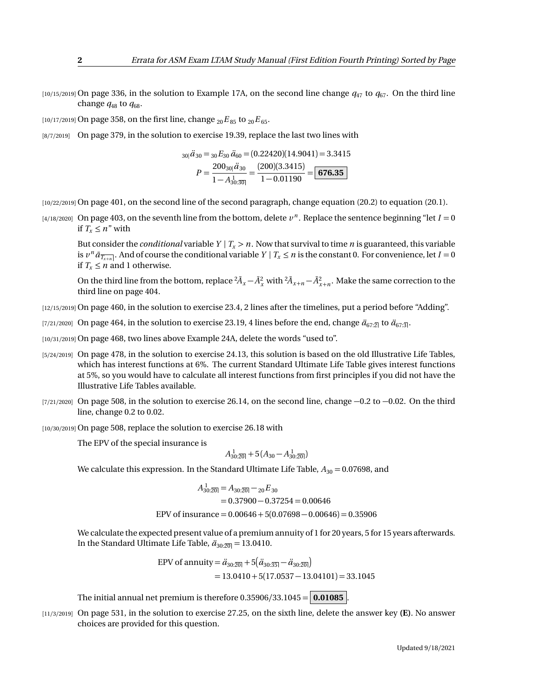[10/15/2019] On page 336, in the solution to Example 17A, on the second line change  $q_{47}$  to  $q_{67}$ . On the third line change  $q_{48}$  to  $q_{68}$ .

 $[10/17/2019]$  On page 358, on the first line, change  ${}_{20}E_{85}$  to  ${}_{20}E_{65}$ .

[8/7/2019] On page 379, in the solution to exercise 19.39, replace the last two lines with

$$
30| \ddot{d}_{30} = 30 E_{30} \ddot{d}_{60} = (0.22420)(14.9041) = 3.3415
$$

$$
P = \frac{200_{30} | \ddot{d}_{30}}{1 - A_{30:30}^1} = \frac{(200)(3.3415)}{1 - 0.01190} = \boxed{676.35}
$$

[10/22/2019] On page 401, on the second line of the second paragraph, change equation (20.2) to equation (20.1).

 $(4/18/2020]$  On page 403, on the seventh line from the bottom, delete  $v^n$ . Replace the sentence beginning "let  $I = 0$ if  $T_r \leq n$ " with

But consider the *conditional* variable  $Y | T_x > n$ . Now that survival to time *n* is guaranteed, this variable is  $v^n \bar{a}_{\overline{T_{x+n}}}$ . And of course the conditional variable  $Y | T_x \le n$  is the constant 0. For convenience, let  $I = 0$ if  $T_x \leq n$  and 1 otherwise.

On the third line from the bottom, replace  ${}^2\bar{A}_x - \bar{A}_x^2$  with  ${}^2\bar{A}_{x+n} - \bar{A}_{x+n}^2$ . Make the same correction to the third line on page 404.

[12/15/2019] On page 460, in the solution to exercise 23.4, 2 lines after the timelines, put a period before "Adding".

- [7/21/2020] On page 464, in the solution to exercise 23.19, 4 lines before the end, change  $\ddot{a}_{67:2}$  to  $\ddot{a}_{67:3}$ .
- [10/31/2019] On page 468, two lines above Example 24A, delete the words "used to".
- [5/24/2019] On page 478, in the solution to exercise 24.13, this solution is based on the old Illustrative Life Tables, which has interest functions at 6%. The current Standard Ultimate Life Table gives interest functions at 5%, so you would have to calculate all interest functions from first principles if you did not have the Illustrative Life Tables available.
- [7/21/2020] On page 508, in the solution to exercise 26.14, on the second line, change −0.2 to −0.02. On the third line, change 0.2 to 0.02.

[10/30/2019] On page 508, replace the solution to exercise 26.18 with

The EPV of the special insurance is

$$
A_{30:20}^{1} + 5(A_{30} - A_{30:20}^{1})
$$

We calculate this expression. In the Standard Ultimate Life Table,  $A_{30} = 0.07698$ , and

$$
A_{30:20}^{1} = A_{30:20} - 20E_{30}
$$
  
= 0.37900 - 0.37254 = 0.00646  
EPV of insurance = 0.00646 + 5(0.07698 - 0.00646) = 0.35906

We calculate the expected present value of a premium annuity of 1 for 20 years, 5 for 15 years afterwards. In the Standard Ultimate Life Table,  $\ddot{a}_{30:20} = 13.0410$ .

$$
\text{EPV of annuity} = \ddot{a}_{30:\overline{20}} + 5(\ddot{a}_{30:\overline{35}} - \ddot{a}_{30:\overline{20}})
$$
  
= 13.0410 + 5(17.0537 - 13.04101) = 33.1045

The initial annual net premium is therefore  $0.35906/33.1045 = 0.01085$ 

[11/3/2019] On page 531, in the solution to exercise 27.25, on the sixth line, delete the answer key **(E)**. No answer choices are provided for this question.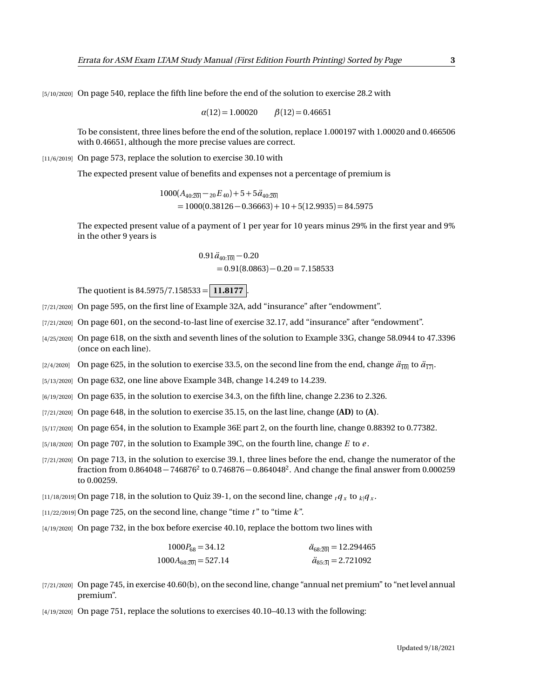[5/10/2020] On page 540, replace the fifth line before the end of the solution to exercise 28.2 with

$$
\alpha(12) = 1.00020 \qquad \beta(12) = 0.46651
$$

To be consistent, three lines before the end of the solution, replace 1.000197 with 1.00020 and 0.466506 with 0.46651, although the more precise values are correct.

 $[11/6/2019]$  On page 573, replace the solution to exercise 30.10 with

The expected present value of benefits and expenses not a percentage of premium is

 $1000(A_{40:20} - 20E_{40}) + 5 + 5\ddot{a}_{40:20}$  $= 1000(0.38126 - 0.36663) + 10 + 5(12.9935) = 84.5975$ 

The expected present value of a payment of 1 per year for 10 years minus 29% in the first year and 9% in the other 9 years is

$$
0.91 \ddot{a}_{40:\overline{10}|} - 0.20
$$
  
= 0.91(8.0863) - 0.20 = 7.158533

The quotient is  $84.5975/7.158533 = 11.8177$ 

- [7/21/2020] On page 595, on the first line of Example 32A, add "insurance" after "endowment".
- [7/21/2020] On page 601, on the second-to-last line of exercise 32.17, add "insurance" after "endowment".
- [4/25/2020] On page 618, on the sixth and seventh lines of the solution to Example 33G, change 58.0944 to 47.3396 (once on each line).
- [2/4/2020] On page 625, in the solution to exercise 33.5, on the second line from the end, change  $\ddot{a}_{\overline{10}}$  to  $\ddot{a}_{\overline{17}}$ .
- [5/13/2020] On page 632, one line above Example 34B, change 14.249 to 14.239.
- [6/19/2020] On page 635, in the solution to exercise 34.3, on the fifth line, change 2.236 to 2.326.
- [7/21/2020] On page 648, in the solution to exercise 35.15, on the last line, change **(AD)** to **(A)**.
- [5/17/2020] On page 654, in the solution to Example 36E part 2, on the fourth line, change 0.88392 to 0.77382.
- [5/18/2020] On page 707, in the solution to Example 39C, on the fourth line, change *E* to *e* .
- [7/21/2020] On page 713, in the solution to exercise 39.1, three lines before the end, change the numerator of the fraction from  $0.864048 - 746876^2$  to  $0.746876 - 0.864048^2$ . And change the final answer from  $0.000259$ to 0.00259.
- $\frac{1}{11/18/2019}$  On page 718, in the solution to Quiz 39-1, on the second line, change  ${}_{t}q_{x}$  to  ${}_{k}|q_{x}$ .
- $[11/22/2019]$  On page 725, on the second line, change "time  $t$ " to "time  $k$ ".
- [4/19/2020] On page 732, in the box before exercise 40.10, replace the bottom two lines with

| $1000P_{68} = 34.12$     | $\ddot{a}_{68:20} = 12.294465$ |
|--------------------------|--------------------------------|
| $1000A_{68:20} = 527.14$ | $\ddot{a}_{85:3} = 2.721092$   |

- [7/21/2020] On page 745, in exercise 40.60(b), on the second line, change "annual net premium" to "net level annual premium".
- [4/19/2020] On page 751, replace the solutions to exercises 40.10–40.13 with the following: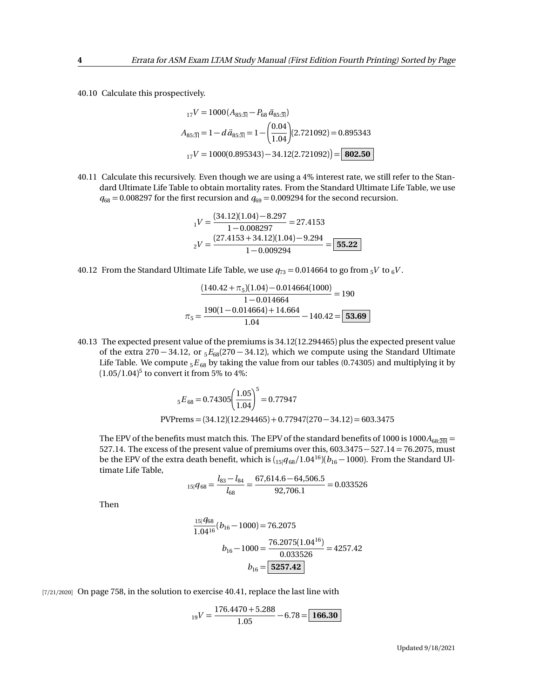40.10 Calculate this prospectively.

$$
{}_{17}V = 1000 (A_{85:\overline{3}}) - P_{68} \ddot{a}_{85:\overline{3}})
$$
  

$$
A_{85:\overline{3}} = 1 - d \ddot{a}_{85:\overline{3}} = 1 - \left(\frac{0.04}{1.04}\right) (2.721092) = 0.895343
$$
  

$$
{}_{17}V = 1000(0.895343) - 34.12(2.721092)\left) = \boxed{\textbf{802.50}}
$$

40.11 Calculate this recursively. Even though we are using a 4% interest rate, we still refer to the Standard Ultimate Life Table to obtain mortality rates. From the Standard Ultimate Life Table, we use  $q_{68} = 0.008297$  for the first recursion and  $q_{69} = 0.009294$  for the second recursion.

$$
_1V = \frac{(34.12)(1.04) - 8.297}{1 - 0.008297} = 27.4153
$$

$$
_2V = \frac{(27.4153 + 34.12)(1.04) - 9.294}{1 - 0.009294} = \boxed{55.22}
$$

40.12 From the Standard Ultimate Life Table, we use  $q_{73} = 0.014664$  to go from  $5V$  to  $6V$ .

$$
\frac{(140.42 + \pi_5)(1.04) - 0.014664(1000)}{1 - 0.014664} = 190
$$

$$
\pi_5 = \frac{190(1 - 0.014664) + 14.664}{1.04} - 140.42 = \boxed{53.69}
$$

40.13 The expected present value of the premiums is 34.12(12.294465) plus the expected present value of the extra 270 − 34.12, or <sup>5</sup>*E*68(270 − 34.12), which we compute using the Standard Ultimate Life Table. We compute <sub>5</sub> $E_{68}$  by taking the value from our tables (0.74305) and multiplying it by (1.05*/*1.04) 5 to convert it from 5% to 4%:

$$
{}_5E_{68} = 0.74305 \left(\frac{1.05}{1.04}\right)^5 = 0.77947
$$
  
PVPrems = (34.12)(12.294465) + 0.77947(270 - 34.12) = 603.3475

The EPV of the benefits must match this. The EPV of the standard benefits of 1000 is 1000 $A_{68:20}$  = 527.14. The excess of the present value of premiums over this, 603.3475−527.14 = 76.2075, must be the EPV of the extra death benefit, which is  $\left(15|q_{68}/1.04^{16}\right)\left(b_{16}-1000\right)$ . From the Standard Ultimate Life Table,

$$
{}_{15|}q_{68}=\frac{l_{83}-l_{84}}{l_{68}}=\frac{67,614.6-64,506.5}{92,706.1}=0.033526
$$

Then

$$
\frac{15|q_{68}}{1.04^{16}}(b_{16} - 1000) = 76.2075
$$

$$
b_{16} - 1000 = \frac{76.2075(1.04^{16})}{0.033526} = 4257.42
$$

$$
b_{16} = \boxed{5257.42}
$$

[7/21/2020] On page 758, in the solution to exercise 40.41, replace the last line with

$$
_{19}V = \frac{176.4470 + 5.288}{1.05} - 6.78 = \boxed{166.30}
$$

Updated 9/18/2021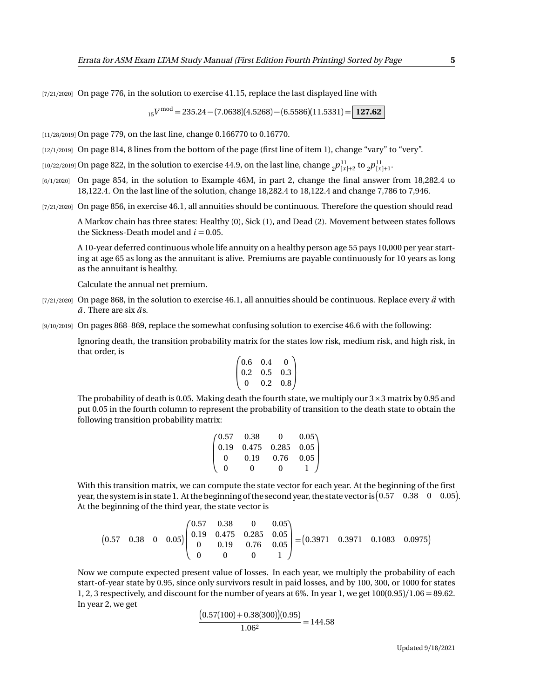[7/21/2020] On page 776, in the solution to exercise 41.15, replace the last displayed line with

<sup>15</sup>*V* mod = 235.24 − (7.0638)(4.5268) − (6.5586)(11.5331) = **127.62**

[11/28/2019] On page 779, on the last line, change 0.166770 to 0.16770.

[12/1/2019] On page 814, 8 lines from the bottom of the page (first line of item 1), change "vary" to "very".

 $_{[10/22/2019]}$  On page 822, in the solution to exercise 44.9, on the last line, change  $_{2}p_{[x]+2}^{11}$  to  $_{2}p_{[x]+1}^{11}$ .

[6/1/2020] On page 854, in the solution to Example 46M, in part 2, change the final answer from 18,282.4 to 18,122.4. On the last line of the solution, change 18,282.4 to 18,122.4 and change 7,786 to 7,946.

[7/21/2020] On page 856, in exercise 46.1, all annuities should be continuous. Therefore the question should read

A Markov chain has three states: Healthy (0), Sick (1), and Dead (2). Movement between states follows the Sickness-Death model and  $i = 0.05$ .

A 10-year deferred continuous whole life annuity on a healthy person age 55 pays 10,000 per year starting at age 65 as long as the annuitant is alive. Premiums are payable continuously for 10 years as long as the annuitant is healthy.

Calculate the annual net premium.

- $[7/21/2020]$  On page 868, in the solution to exercise 46.1, all annuities should be continuous. Replace every  $\ddot{a}$  with *a*¯. There are six *a*¨s.
- [9/10/2019] On pages 868–869, replace the somewhat confusing solution to exercise 46.6 with the following:

Ignoring death, the transition probability matrix for the states low risk, medium risk, and high risk, in that order, is

$$
\begin{pmatrix} 0.6 & 0.4 & 0 \\ 0.2 & 0.5 & 0.3 \\ 0 & 0.2 & 0.8 \end{pmatrix}
$$

The probability of death is 0.05. Making death the fourth state, we multiply our  $3 \times 3$  matrix by 0.95 and put 0.05 in the fourth column to represent the probability of transition to the death state to obtain the following transition probability matrix:

| (0.57)        | 0.38     | $\bf{0}$    | $0.05\}$ |
|---------------|----------|-------------|----------|
| $\sqrt{0.19}$ |          | 0.475 0.285 | 0.05     |
| $_{0}$        | 0.19     | 0.76        | 0.05     |
| 0             | $\Omega$ | 0           |          |

With this transition matrix, we can compute the state vector for each year. At the beginning of the first year, the system is in state 1. At the beginning of the second year, the state vector is  $(0.57 \quad 0.38 \quad 0 \quad 0.05)$ . At the beginning of the third year, the state vector is

$$
\begin{pmatrix}\n0.57 & 0.38 & 0 & 0.05 \\
0.19 & 0.475 & 0.285 & 0.05 \\
0 & 0.19 & 0.76 & 0.05 \\
0 & 0 & 0 & 1\n\end{pmatrix}\n=\n\begin{pmatrix}\n0.57 & 0.38 & 0 & 0.05 \\
0.05 & 0.05 & 0.05 \\
0 & 0 & 1\n\end{pmatrix}\n=\n\begin{pmatrix}\n0.3971 & 0.3971 & 0.1083 & 0.0975\n\end{pmatrix}
$$

Now we compute expected present value of losses. In each year, we multiply the probability of each start-of-year state by 0.95, since only survivors result in paid losses, and by 100, 300, or 1000 for states 1, 2, 3 respectively, and discount for the number of years at 6%. In year 1, we get 100(0.95)*/*1.06 = 89.62. In year 2, we get

$$
\frac{(0.57(100) + 0.38(300))(0.95)}{1.06^2} = 144.58
$$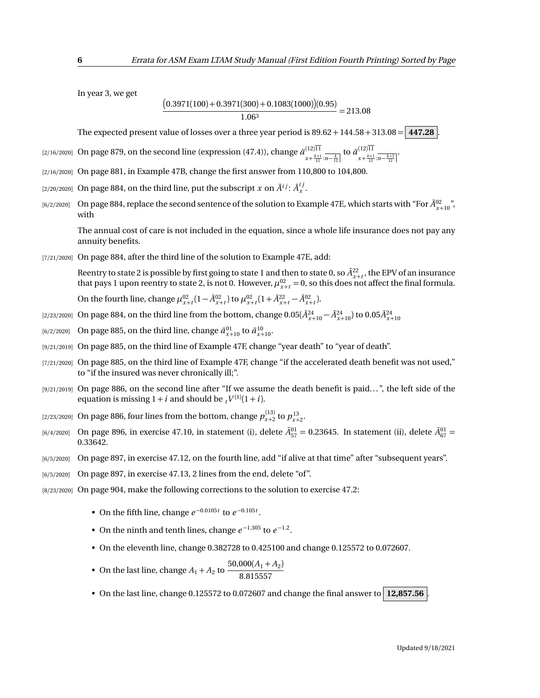In year 3, we get

$$
\frac{(0.3971(100) + 0.3971(300) + 0.1083(1000))(0.95)}{1.06^3} = 213.08
$$

The expected present value of losses over a three year period is  $89.62 + 144.58 + 313.08 = 447.28$ 

- [2/16/2020] On page 879, on the second line (expression (47.4)), change *a*¨ (12)11  $\frac{(12)11}{x + \frac{k+1}{12} \cdot n - \frac{k}{12}}$  to  $\frac{\ddot{a}^{(12)11}}{x + \frac{k+1}{12}}$  $x+\frac{k+1}{12}$ : $\overline{n-\frac{k+1}{12}}$
- [2/16/2020] On page 881, in Example 47B, change the first answer from 110,800 to 104,800.
- [2/20/2020] On page 884, on the third line, put the subscript  $x$  on  $\tilde{A}^{ij}$ :  $\tilde{A}^{ij}_x$  .
- [6/2/2020] On page 884, replace the second sentence of the solution to Example 47E, which starts with "For  $\bar{A}^{02}_{x+10}$ ", with

The annual cost of care is not included in the equation, since a whole life insurance does not pay any annuity benefits.

[7/21/2020] On page 884, after the third line of the solution to Example 47E, add:

Reentry to state 2 is possible by first going to state 1 and then to state 0, so  $\bar A^{22}_{r+t}$ , the EPV of an insurance that pays 1 upon reentry to state 2, is not 0. However,  $\mu_{x+t}^{02} = 0$ , so this does not affect the final formula.

On the fourth line, change  $\mu_{x+t}^{02} (1 - \bar{A}_{x+t}^{02})$  to  $\mu_{x+t}^{02} (1 + \bar{A}_{x+t}^{22} - \bar{A}_{x+t}^{02})$ .

- $(2/23/2020]$  On page 884, on the third line from the bottom, change  $0.05(\bar{A}^{24}_{x+10}-\bar{A}^{24}_{x+10})$  to  $0.05\bar{A}^{24}_{x+10}$
- $\bar{a}^{(6/2/2020)}$  On page 885, on the third line, change  $\bar{a}^{01}_{x+10}$  to  $\bar{a}^{10}_{x+10}$ .
- [9/21/2019] On page 885, on the third line of Example 47F, change "year death" to "year of death".
- [7/21/2020] On page 885, on the third line of Example 47F, change "if the accelerated death benefit was not used," to "if the insured was never chronically ill;".
- [9/21/2019] On page 886, on the second line after "If we assume the death benefit is paid...", the left side of the equation is missing  $1 + i$  and should be  $\mathfrak{z}_t V^{(1)}(1+i)$ .
- [2/23/2020] On page 886, four lines from the bottom, change  $p_{x+2}^{(13)}$  to  $p_{x+2}^{13}$ .
- $_{[6/4/2020]}$  On page 896, in exercise 47.10, in statement (i), delete  $\bar{A}_{57}^{01} = 0.23645$ . In statement (ii), delete  $\bar{A}_{67}^{01} =$ 0.33642.
- [6/5/2020] On page 897, in exercise 47.12, on the fourth line, add "if alive at that time" after "subsequent years".
- [6/5/2020] On page 897, in exercise 47.13, 2 lines from the end, delete "of".
- [8/23/2020] On page 904, make the following corrections to the solution to exercise 47.2:
	- On the fifth line, change  $e^{-0.0105t}$  to  $e^{-0.105t}$ .
	- On the ninth and tenth lines, change  $e^{-1.305}$  to  $e^{-1.2}$ .
	- On the eleventh line, change 0.382728 to 0.425100 and change 0.125572 to 0.072607.

• On the last line, change 
$$
A_1 + A_2
$$
 to  $\frac{50,000(A_1 + A_2)}{8.815557}$ 

• On the last line, change 0.125572 to 0.072607 and change the final answer to  $12,857.56$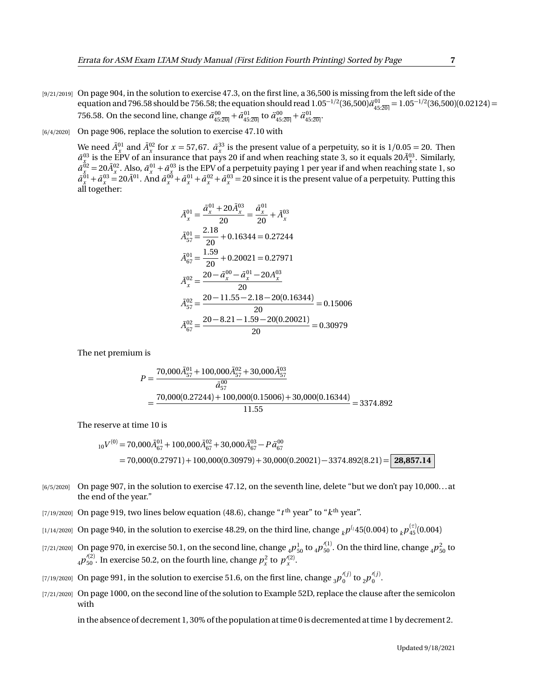- [9/21/2019] On page 904, in the solution to exercise 47.3, on the first line, a 36,500 is missing from the left side of the equation and 796.58 should be 756.58; the equation should read  $1.05^{-1/2}(36,500)\ddot{a}_{45:\overline{20}}^{01} = 1.05^{-1/2}(36,500)(0.02124) =$ 756.58. On the second line, change  $\bar{a}_{45:20]}^{00} + \bar{a}_{45:20}^{01}$  to  $\ddot{a}_{45:20]}^{00} + \ddot{a}_{45:20}^{01}$ .
- [6/4/2020] On page 906, replace the solution to exercise 47.10 with

We need  $\bar{A}_x^{01}$  and  $\bar{A}_x^{02}$  for  $x = 57,67$ .  $\bar{a}_x^{33}$  is the present value of a perpetuity, so it is  $1/0.05 = 20$ . Then  $\bar{a}^{03}_{\bar{x}}$  is the EPV of an insurance that pays 20 if and when reaching state 3, so it equals 20 $\bar{A}^{03}_{\bar{x}}$ . Similarly,  $\bar{a}^{02}_{\tilde{x}} = 20 \bar{A}^{02}_{x}$ . Also,  $\bar{a}^{01}_{x} + \bar{a}^{03}_{x}$  is the EPV of a perpetuity paying 1 per year if and when reaching state 1, so  $\bar{a}^{01}_x + \bar{a}^{03}_x = 20 \bar{A}^{01}$ . And  $\bar{a}^{00}_x + \bar{a}^{01}_x + \bar{a}^{02}_x + \bar{a}^{03}_x = 20$  since it is the present value of a perpetuity. Putting this all together:

$$
\bar{A}_{x}^{01} = \frac{\bar{a}_{x}^{01} + 20\bar{A}_{x}^{03}}{20} = \frac{\bar{a}_{x}^{01}}{20} + \bar{A}_{x}^{03}
$$
\n
$$
\bar{A}_{57}^{01} = \frac{2.18}{20} + 0.16344 = 0.27244
$$
\n
$$
\bar{A}_{67}^{01} = \frac{1.59}{20} + 0.20021 = 0.27971
$$
\n
$$
\bar{A}_{x}^{02} = \frac{20 - \bar{a}_{x}^{00} - \bar{a}_{x}^{01} - 20A_{x}^{03}}{20}
$$
\n
$$
\bar{A}_{57}^{02} = \frac{20 - 11.55 - 2.18 - 20(0.16344)}{20} = 0.15006
$$
\n
$$
\bar{A}_{67}^{02} = \frac{20 - 8.21 - 1.59 - 20(0.20021)}{20} = 0.30979
$$

The net premium is

$$
P = \frac{70,000\overline{A}_{57}^{01} + 100,000\overline{A}_{57}^{02} + 30,000\overline{A}_{57}^{03}}{\overline{a}_{57}^{00}}
$$
  
= 
$$
\frac{70,000(0.27244) + 100,000(0.15006) + 30,000(0.16344)}{11.55} = 3374.892
$$

The reserve at time 10 is

$$
{}_{10}V^{(0)} = 70,000\bar{A}_{67}^{01} + 100,000\bar{A}_{67}^{02} + 30,000\bar{A}_{67}^{03} - P\ddot{a}_{67}^{00}
$$
  
= 70,000(0.27971) + 100,000(0.30979) + 30,000(0.20021) - 3374.892(8.21) = 28,857.14

- [6/5/2020] On page 907, in the solution to exercise 47.12, on the seventh line, delete "but we don't pay 10,000...at the end of the year."
- $_{\rm [7/19/2020]}$  On page 919, two lines below equation (48.6), change " $t^{\rm th}$  year" to " $k^{\rm th}$  year".
- $_{[1/14/2020]}$  On page 940, in the solution to exercise 48.29, on the third line, change  $_{k}p^{(_{1}45(0.004)\text{ to }}_{k}p^{(\tau)}_{45}(0.004)$
- [7/21/2020] On page 970, in exercise 50.1, on the second line, change  $_4P_{50}^1$  to  $_4p_{50}^{\prime(1)}$ . On the third line, change  $_4p_{50}^2$  to  $_4p_{50}^{\prime(2)}$ . In exercise 50.2, on the fourth line, change  $p_x^2$  to  $p_x^{\prime(2)}$ .
- [7/19/2020] On page 991, in the solution to exercise 51.6, on the first line, change  $_3p_0^{\prime(j)}$  to  $_2p_0^{\prime(j)}$ .
- [7/21/2020] On page 1000, on the second line of the solution to Example 52D, replace the clause after the semicolon with

in the absence of decrement 1, 30% of the population at time 0 is decremented at time 1 by decrement 2.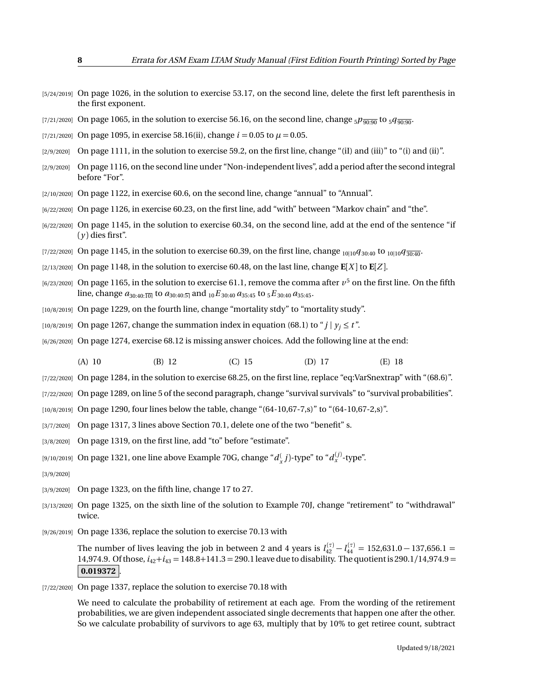- [5/24/2019] On page 1026, in the solution to exercise 53.17, on the second line, delete the first left parenthesis in the first exponent.
- [7/21/2020] On page 1065, in the solution to exercise 56.16, on the second line, change  $_5p_{\overline{90\cdot90}}$  to  $_5q_{\overline{90\cdot90}}$ .
- [7/21/2020] On page 1095, in exercise 58.16(ii), change  $i = 0.05$  to  $\mu = 0.05$ .
- $[2/9/2020]$  On page 1111, in the solution to exercise 59.2, on the first line, change "(iI) and (iii)" to "(i) and (iii)".
- [2/9/2020] On page 1116, on the second line under "Non-independent lives", add a period after the second integral before "For".
- [2/10/2020] On page 1122, in exercise 60.6, on the second line, change "annual" to "Annual".
- [6/22/2020] On page 1126, in exercise 60.23, on the first line, add "with" between "Markov chain" and "the".
- [6/22/2020] On page 1145, in the solution to exercise 60.34, on the second line, add at the end of the sentence "if  $(y)$  dies first".
- [7/22/2020] On page 1145, in the solution to exercise 60.39, on the first line, change <sub>10|10</sub> $q_{30:40}$  to <sub>10|10</sub> $q_{30:40}$ .
- [2/13/2020] On page 1148, in the solution to exercise 60.48, on the last line, change  $\mathbf{E}[X]$  to  $\mathbf{E}[Z]$ .
- $_{[6/23/2020]}$  On page 1165, in the solution to exercise 61.1, remove the comma after  $v^5$  on the first line. On the fifth line, change  $a_{30:40:\overline{10|}}$  to  $a_{30:40:\overline{5|}}$  and  ${}_{10}E_{30:40}a_{35:45}$  to  ${}_{5}E_{30:40}a_{35:45}$ .
- [10/8/2019] On page 1229, on the fourth line, change "mortality stdy" to "mortality study".
- [10/8/2019] On page 1267, change the summation index in equation (68.1) to " $j \mid y_j \le t$ ".
- [6/26/2020] On page 1274, exercise 68.12 is missing answer choices. Add the following line at the end:
	- (A) 10 (B) 12 (C) 15 (D) 17 (E) 18
- [7/22/2020] On page 1284, in the solution to exercise 68.25, on the first line, replace "eq:VarSnextrap" with "(68.6)".
- [7/22/2020] On page 1289, on line 5 of the second paragraph, change "survival survivals" to "survival probabilities".
- [10/8/2019] On page 1290, four lines below the table, change "(64-10,67-7,s)" to "(64-10,67-2,s)".
- [3/7/2020] On page 1317, 3 lines above Section 70.1, delete one of the two "benefit" s.
- [3/8/2020] On page 1319, on the first line, add "to" before "estimate".
- $_{[9/10/2019]}$  On page 1321, one line above Example 70G, change " $d_{x}^{(}$   $j$ )-type" to " $d_{x}^{(j)}$ -type".
- [3/9/2020]
- [3/9/2020] On page 1323, on the fifth line, change 17 to 27.
- [3/13/2020] On page 1325, on the sixth line of the solution to Example 70J, change "retirement" to "withdrawal" twice.
- [9/26/2019] On page 1336, replace the solution to exercise 70.13 with

The number of lives leaving the job in between 2 and 4 years is  $l_{42}^{(\tau)} - l_{44}^{(\tau)} = 152{,}631.0 - 137{,}656.1 =$ 14,974.9. Of those, *i*42+*i*<sup>43</sup> = 148.8+141.3 = 290.1 leave due to disability. The quotient is 290.1*/*14,974.9 =  $|0.019372|$ 

[7/22/2020] On page 1337, replace the solution to exercise 70.18 with

We need to calculate the probability of retirement at each age. From the wording of the retirement probabilities, we are given independent associated single decrements that happen one after the other. So we calculate probability of survivors to age 63, multiply that by 10% to get retiree count, subtract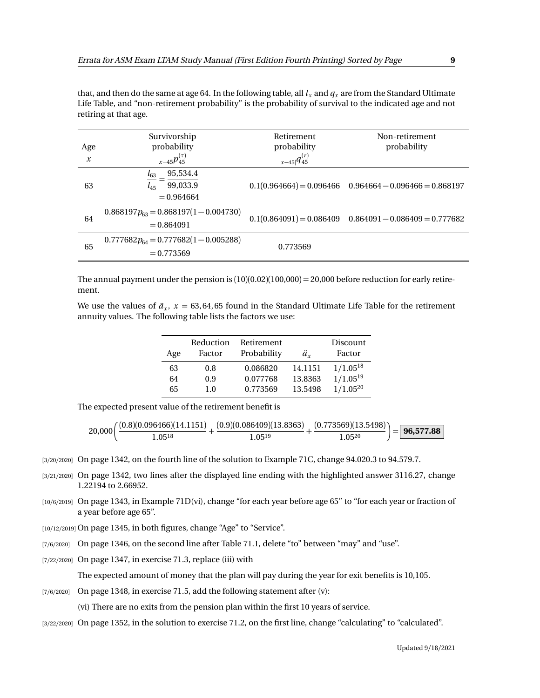that, and then do the same at age 64. In the following table, all  $l_x$  and  $q_x$  are from the Standard Ultimate Life Table, and "non-retirement probability" is the probability of survival to the indicated age and not retiring at that age.

| Age<br>$\boldsymbol{\mathcal{X}}$ | Survivorship<br>probability<br>$x_{-45}p_{45}^{(\tau)}$          | Retirement<br>probability<br>$x-45 q_{45}^{(r)}$ | Non-retirement<br>probability                               |
|-----------------------------------|------------------------------------------------------------------|--------------------------------------------------|-------------------------------------------------------------|
| 63                                | 95,534.4<br>$\iota_{63}$<br>99,033.9<br>$l_{45}$<br>$= 0.964664$ |                                                  | $0.1(0.964664) = 0.096466$ $0.964664 - 0.096466 = 0.868197$ |
| 64                                | $0.868197p_{63} = 0.868197(1 - 0.004730)$<br>$= 0.864091$        |                                                  | $0.1(0.864091) = 0.086409$ $0.864091 - 0.086409 = 0.777682$ |
| 65                                | $0.777682p_{64} = 0.777682(1 - 0.005288)$<br>$= 0.773569$        | 0.773569                                         |                                                             |

The annual payment under the pension is  $(10)(0.02)(100,000) = 20,000$  before reduction for early retirement.

We use the values of  $\ddot{a}_x$ ,  $x = 63,64,65$  found in the Standard Ultimate Life Table for the retirement annuity values. The following table lists the factors we use:

| Age | Reduction<br>Factor | Retirement<br>Probability | ä.      | Discount<br>Factor |
|-----|---------------------|---------------------------|---------|--------------------|
| 63  | 0.8                 | 0.086820                  | 14.1151 | $1/1.05^{18}$      |
| 64  | 0.9                 | 0.077768                  | 13.8363 | $1/1.05^{19}$      |
| 65  | 1.0                 | 0.773569                  | 13.5498 | $1/1.05^{20}$      |

The expected present value of the retirement benefit is

$$
20,000\bigg(\frac{(0.8)(0.096466)(14.1151)}{1.05^{18}}+\frac{(0.9)(0.086409)(13.8363)}{1.05^{19}}+\frac{(0.773569)(13.5498)}{1.05^{20}}\bigg)\!=\!\boxed{\textbf{96,577.88}}
$$

- [3/20/2020] On page 1342, on the fourth line of the solution to Example 71C, change 94.020.3 to 94.579.7.
- [3/21/2020] On page 1342, two lines after the displayed line ending with the highlighted answer 3116.27, change 1.22194 to 2.66952.
- [10/6/2019] On page 1343, in Example 71D(vi), change "for each year before age 65" to "for each year or fraction of a year before age 65".
- [10/12/2019] On page 1345, in both figures, change "Age" to "Service".
- [7/6/2020] On page 1346, on the second line after Table 71.1, delete "to" between "may" and "use".
- [7/22/2020] On page 1347, in exercise 71.3, replace (iii) with

The expected amount of money that the plan will pay during the year for exit benefits is 10,105.

 $[7/6/2020]$  On page 1348, in exercise 71.5, add the following statement after (v):

(vi) There are no exits from the pension plan within the first 10 years of service.

[3/22/2020] On page 1352, in the solution to exercise 71.2, on the first line, change "calculating" to "calculated".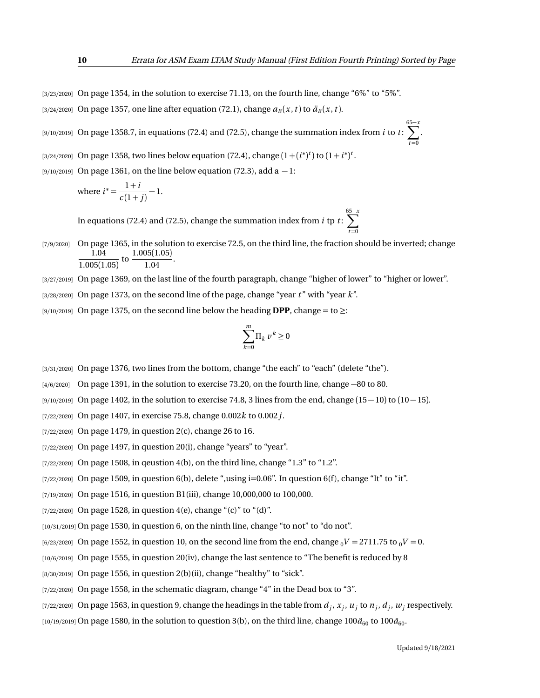[3/23/2020] On page 1354, in the solution to exercise 71.13, on the fourth line, change "6%" to "5%".

[3/24/2020] On page 1357, one line after equation (72.1), change  $a_B(x, t)$  to  $\ddot{a}_B(x, t)$ .

 $_{[9/10/2019]}$  On page 1358.7, in equations (72.4) and (72.5), change the summation index from  $i$  to  $t$  :  $\sum_{i=1}^{65-x}$ 

[3/24/2020] On page 1358, two lines below equation (72.4), change  $(1 + (i^*)^t)$  to  $(1 + i^*)^t$ .

 $[9/10/2019]$  On page 1361, on the line below equation (72.3), add a -1:

where 
$$
i^* = \frac{1+i}{c(1+j)} - 1
$$
.

In equations (72.4) and (72.5), change the summation index from *i* tp *t* : 65 X−*x*  $t = 0$ 

- [7/9/2020] On page 1365, in the solution to exercise 72.5, on the third line, the fraction should be inverted; change 1.04  $\frac{1.04}{1.005(1.05)}$  to  $\frac{1.005(1.05)}{1.04}$  $\frac{1.04}{1.04}$ .
- [3/27/2019] On page 1369, on the last line of the fourth paragraph, change "higher of lower" to "higher or lower".
- [3/28/2020] On page 1373, on the second line of the page, change "year *t* " with "year *k*".
- [9/10/2019] On page 1375, on the second line below the heading **DPP**, change = to ≥:

$$
\sum_{k=0}^m \Pi_k \; \nu^k \geq 0
$$

- [3/31/2020] On page 1376, two lines from the bottom, change "the each" to "each" (delete "the").
- [4/6/2020] On page 1391, in the solution to exercise 73.20, on the fourth line, change −80 to 80.
- $[9/10/2019]$  On page 1402, in the solution to exercise 74.8, 3 lines from the end, change  $(15-10)$  to  $(10-15)$ .
- [7/22/2020] On page 1407, in exercise 75.8, change 0.002*k* to 0.002*j*.
- [7/22/2020] On page 1479, in question 2(c), change 26 to 16.
- $[7/22/2020]$  On page 1497, in question 20(i), change "years" to "year".
- $[7/22/2020]$  On page 1508, in qeustion 4(b), on the third line, change "1.3" to "1.2".
- $[7/22/2020]$  On page 1509, in question 6(b), delete ",using i=0.06". In question 6(f), change "It" to "it".
- [7/19/2020] On page 1516, in question B1(iii), change 10,000,000 to 100,000.
- $[7/22/2020]$  On page 1528, in question 4(e), change "(c)" to "(d)".
- [10/31/2019] On page 1530, in question 6, on the ninth line, change "to not" to "do not".
- $[6/23/2020]$  On page 1552, in question 10, on the second line from the end, change  $_0V = 2711.75$  to  $_0V = 0$ .
- [10/6/2019] On page 1555, in question 20(iv), change the last sentence to "The benefit is reduced by 8
- $[8/30/2019]$  On page 1556, in question 2(b)(ii), change "healthy" to "sick".
- $[7/22/2020]$  On page 1558, in the schematic diagram, change "4" in the Dead box to "3".
- $_{[7/22/2020]}$  On page 1563, in question 9, change the headings in the table from  $d_j, x_j, u_j$  to  $n_j, d_j, w_j$  respectively.
- $(10/19/2019)$  On page 1580, in the solution to question 3(b), on the third line, change  $100\ddot{a}_{60}$  to  $100\ddot{a}_{60}$ .

 $t = 0$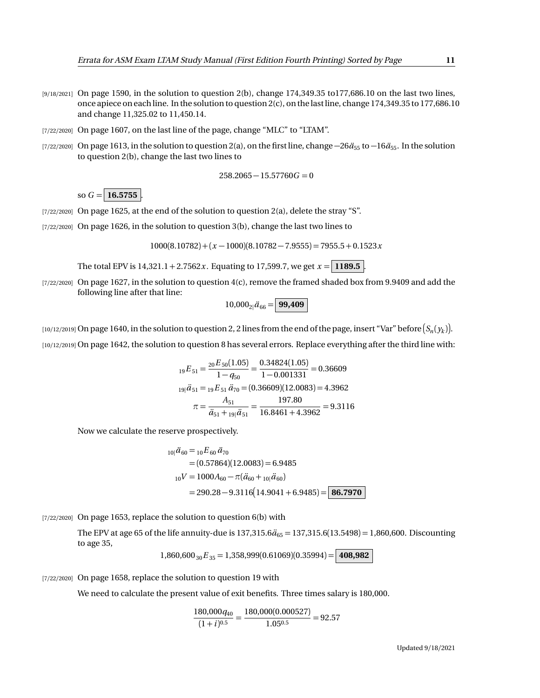- $[9/18/2021]$  On page 1590, in the solution to question 2(b), change 174,349.35 to 177,686.10 on the last two lines, once apiece on each line. In the solution to question 2(c), on the last line, change 174,349.35 to 177,686.10 and change 11,325.02 to 11,450.14.
- [7/22/2020] On page 1607, on the last line of the page, change "MLC" to "LTAM".
- [7/22/2020] On page 1613, in the solution to question 2(a), on the first line, change –26 $\ddot{a}_{55}$  to –16 $\ddot{a}_{55}$ . In the solution to question 2(b), change the last two lines to

$$
258.2065 - 15.57760G = 0
$$

so  $G = 16.5755$ 

- [7/22/2020] On page 1625, at the end of the solution to question 2(a), delete the stray "S".
- [7/22/2020] On page 1626, in the solution to question 3(b), change the last two lines to

 $1000(8.10782) + (x - 1000)(8.10782 - 7.9555) = 7955.5 + 0.1523x$ 

The total EPV is  $14,321.1 + 2.7562x$ . Equating to 17,599.7, we get  $x = 1189.5$ .

[7/22/2020] On page 1627, in the solution to question 4(c), remove the framed shaded box from 9.9409 and add the following line after that line:

$$
10,000_{2}|\ddot{a}_{66}=\boxed{99,409}
$$

 $_7$ 10/12/2019] On page 1640, in the solution to question 2, 2 lines from the end of the page, insert "Var" before  $(S_n(y_k)].$ 

[10/12/2019] On page 1642, the solution to question 8 has several errors. Replace everything after the third line with:

$$
{}_{19}E_{51} = \frac{{}_{20}E_{50}(1.05)}{1 - q_{50}} = \frac{0.34824(1.05)}{1 - 0.001331} = 0.36609
$$
  

$$
I_{19}d_{51} = {}_{19}E_{51}d_{70} = (0.36609)(12.0083) = 4.3962
$$
  

$$
\pi = \frac{A_{51}}{d_{51} + {}_{19}d_{51}} = \frac{197.80}{16.8461 + 4.3962} = 9.3116
$$

Now we calculate the reserve prospectively.

$$
{}_{10|}\ddot{a}_{60} = {}_{10}E_{60}\ddot{a}_{70}
$$
  
= (0.57864)(12.0083) = 6.9485  

$$
{}_{10}V = 1000A_{60} - \pi(\ddot{a}_{60} + {}_{10}|\ddot{a}_{60})
$$
  
= 290.28 - 9.3116(14.9041 + 6.9485) = 86.7970

 $[7/22/2020]$  On page 1653, replace the solution to question 6(b) with

The EPV at age 65 of the life annuity-due is  $137,315.6\ddot{a}_{65} = 137,315.6(13.5498) = 1,860,600$ . Discounting to age 35,

$$
1,860,600_{30}E_{35} = 1,358,999(0.61069)(0.35994) = 408,982
$$

[7/22/2020] On page 1658, replace the solution to question 19 with

We need to calculate the present value of exit benefits. Three times salary is 180,000.

$$
\frac{180,000q_{40}}{(1+i)^{0.5}} = \frac{180,000(0.000527)}{1.05^{0.5}} = 92.57
$$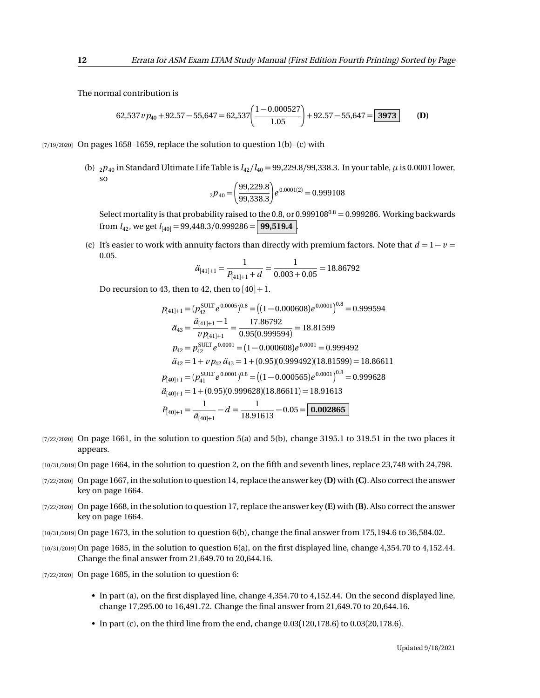The normal contribution is

$$
62,537 \nu p_{40} + 92.57 - 55,647 = 62,537 \left( \frac{1 - 0.000527}{1.05} \right) + 92.57 - 55,647 = \boxed{3973}
$$
 (D)

[7/19/2020] On pages 1658-1659, replace the solution to question 1(b)-(c) with

(b)  $_2p_{40}$  in Standard Ultimate Life Table is  $l_{42}/l_{40} = 99,229.8/99,338.3$ . In your table,  $\mu$  is 0.0001 lower, so

$$
{}_{2}p_{40} = \left(\frac{99,229.8}{99,338.3}\right) e^{0.0001(2)} = 0.999108
$$

Select mortality is that probability raised to the 0.8, or 0.999108<sup>0.8</sup> = 0.999286. Working backwards from  $l_{42}$ , we get  $l_{[40]} = 99,448.3/0.999286 =$  **99,519.4** 

(c) It's easier to work with annuity factors than directly with premium factors. Note that  $d = 1 - v =$ 0.05.

$$
\ddot{a}_{[41]+1} = \frac{1}{P_{[41]+1} + d} = \frac{1}{0.003 + 0.05} = 18.86792
$$

Do recursion to 43, then to 42, then to  $[40]+1$ .

$$
p_{[41]+1} = (p_{42}^{\text{SULT}} e^{0.0005})^{0.8} = ((1 - 0.000608)e^{0.0001})^{0.8} = 0.999594
$$
  
\n
$$
\ddot{a}_{43} = \frac{\ddot{a}_{[41]+1} - 1}{\nu p_{[41]+1}} = \frac{17.86792}{0.95(0.999594)} = 18.81599
$$
  
\n
$$
p_{42} = p_{42}^{\text{SULT}} e^{0.0001} = (1 - 0.000608)e^{0.0001} = 0.999492
$$
  
\n
$$
\ddot{a}_{42} = 1 + \nu p_{42} \ddot{a}_{43} = 1 + (0.95)(0.999492)(18.81599) = 18.86611
$$
  
\n
$$
p_{[40]+1} = (p_{41}^{\text{SULT}} e^{0.0001})^{0.8} = ((1 - 0.000565)e^{0.0001})^{0.8} = 0.999628
$$
  
\n
$$
\ddot{a}_{[40]+1} = 1 + (0.95)(0.999628)(18.86611) = 18.91613
$$
  
\n
$$
P_{[40]+1} = \frac{1}{\ddot{a}_{[40]+1}} - d = \frac{1}{18.91613} - 0.05 = 0.002865
$$

- [7/22/2020] On page 1661, in the solution to question 5(a) and 5(b), change 3195.1 to 319.51 in the two places it appears.
- [10/31/2019] On page 1664, in the solution to question 2, on the fifth and seventh lines, replace 23,748 with 24,798.
- [7/22/2020] On page 1667, in the solution to question 14, replace the answer key **(D)**with **(C)**. Also correct the answer key on page 1664.
- [7/22/2020] On page 1668, in the solution to question 17, replace the answer key **(E)** with **(B)**. Also correct the answer key on page 1664.
- [10/31/2019] On page 1673, in the solution to question 6(b), change the final answer from 175,194.6 to 36,584.02.
- $[10/31/2019]$  On page 1685, in the solution to question 6(a), on the first displayed line, change 4,354.70 to 4,152.44. Change the final answer from 21,649.70 to 20,644.16.
- $[7/22/2020]$  On page 1685, in the solution to question 6:
	- In part (a), on the first displayed line, change 4,354.70 to 4,152.44. On the second displayed line, change 17,295.00 to 16,491.72. Change the final answer from 21,649.70 to 20,644.16.
	- In part (c), on the third line from the end, change 0.03(120,178.6) to 0.03(20,178.6).